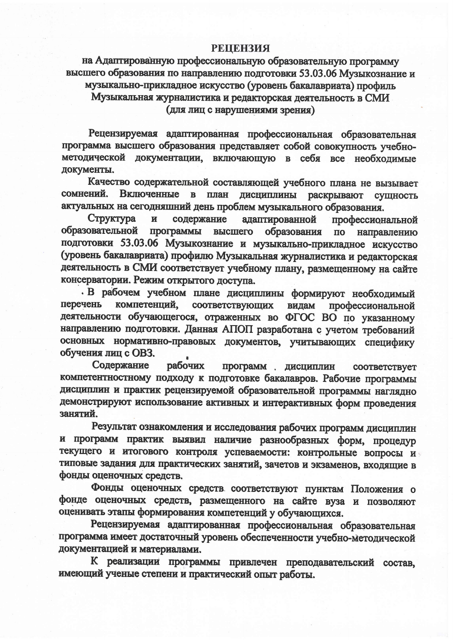## **РЕЦЕНЗИЯ**

на Адаптированную профессиональную образовательную программу высшего образования по направлению подготовки 53.03.06 Музыкознание и музыкально-прикладное искусство (уровень бакалавриата) профиль Музыкальная журналистика и редакторская деятельность в СМИ (для лиц с нарушениями зрения)

Рецензируемая адаптированная профессиональная образовательная программа высшего образования представляет собой совокупность учебнометодической документации, включающую в себя все необходимые документы.

Качество содержательной составляющей учебного плана не вызывает сомнений. Включенные в план дисциплины раскрывают сущность актуальных на сегодняшний день проблем музыкального образования.

содержание адаптированной Структура  $\mathbf{M}$ профессиональной образовательной программы высшего образования по направлению подготовки 53.03.06 Музыкознание и музыкально-прикладное искусство<br>(уровень бакалавриата) профилю Музыкальная журналистика и редакторская деятельность в СМИ соответствует учебному плану, размещенному на сайте консерватории. Режим открытого доступа.

В рабочем учебном плане дисциплины формируют необходимый компетенций, соответствующих видам перечень профессиональной деятельности обучающегося, отраженных во ФГОС ВО по указанному направлению подготовки. Данная АПОП разработана с учетом требований основных нормативно-правовых документов, учитывающих специфику обучения лиц с OB3.

Содержание рабочих программ дисциплин соответствует компетентностному подходу к подготовке бакалавров. Рабочие программы дисциплин и практик рецензируемой образовательной программы наглядно демонстрируют использование активных и интерактивных форм проведения занятий.

Результат ознакомления и исследования рабочих программ дисциплин и программ практик выявил наличие разнообразных форм, процедур текущего и итогового контроля успеваемости: контрольные вопросы и типовые задания для практических занятий, зачетов и экзаменов, входящие в фонды оценочных средств.

Фонды оценочных средств соответствуют пунктам Положения о фонде оценочных средств, размещенного на сайте вуза и позволяют оценивать этапы формирования компетенций у обучающихся.<br>Рецензируемая адаптированная профессиональная образовательная

программа имеет достаточный уровень обеспеченности учебно-методической документацией и материалами.

К реализации программы привлечен преподавательский состав, имеющий ученые степени и практический опыт работы.